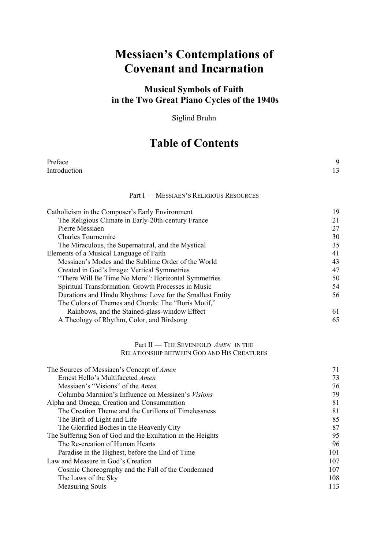## **Messiaen's Contemplations of Covenant and Incarnation**

## **Musical Symbols of Faith in the Two Great Piano Cycles of the 1940s**

Siglind Bruhn

## **Table of Contents**

| Preface<br>Introduction                                    | 9<br>13 |
|------------------------------------------------------------|---------|
|                                                            |         |
| Part I - MESSIAEN'S RELIGIOUS RESOURCES                    |         |
| Catholicism in the Composer's Early Environment            | 19      |
| The Religious Climate in Early-20th-century France         | 21      |
| Pierre Messiaen                                            | 27      |
| <b>Charles Tournemire</b>                                  | 30      |
| The Miraculous, the Supernatural, and the Mystical         | 35      |
| Elements of a Musical Language of Faith                    | 41      |
| Messiaen's Modes and the Sublime Order of the World        | 43      |
| Created in God's Image: Vertical Symmetries                | 47      |
| "There Will Be Time No More": Horizontal Symmetries        | 50      |
| Spiritual Transformation: Growth Processes in Music        | 54      |
| Durations and Hindu Rhythms: Love for the Smallest Entity  | 56      |
| The Colors of Themes and Chords: The "Boris Motif,"        |         |
| Rainbows, and the Stained-glass-window Effect              | 61      |
| A Theology of Rhythm, Color, and Birdsong                  | 65      |
| Part II — THE SEVENFOLD AMEN IN THE                        |         |
| RELATIONSHIP BETWEEN GOD AND HIS CREATURES                 |         |
| The Sources of Messiaen's Concept of Amen                  | 71      |
| Ernest Hello's Multifaceted Amen                           | 73      |
| Messiaen's "Visions" of the Amen                           | 76      |
| Columba Marmion's Influence on Messiaen's Visions          | 79      |
| Alpha and Omega, Creation and Consummation                 | 81      |
| The Creation Theme and the Carillons of Timelessness       | 81      |
| The Birth of Light and Life                                | 85      |
| The Glorified Bodies in the Heavenly City                  | 87      |
| The Suffering Son of God and the Exultation in the Heights | 95      |
| The Re-creation of Human Hearts                            | 96      |
| Paradise in the Highest, before the End of Time            | 101     |
| Law and Measure in God's Creation                          | 107     |
| Cosmic Choreography and the Fall of the Condemned          | 107     |
| The Laws of the Sky                                        | 108     |
| <b>Measuring Souls</b>                                     | 113     |